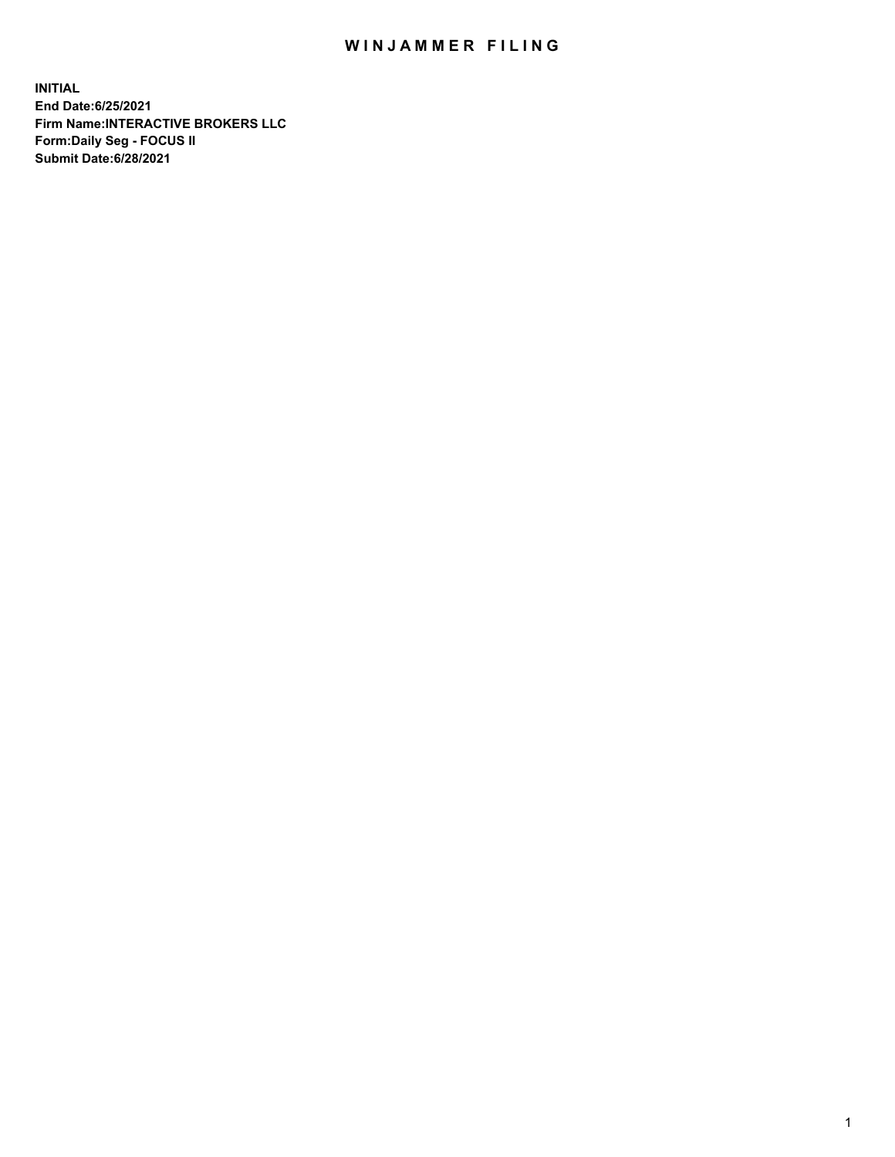## WIN JAMMER FILING

**INITIAL End Date:6/25/2021 Firm Name:INTERACTIVE BROKERS LLC Form:Daily Seg - FOCUS II Submit Date:6/28/2021**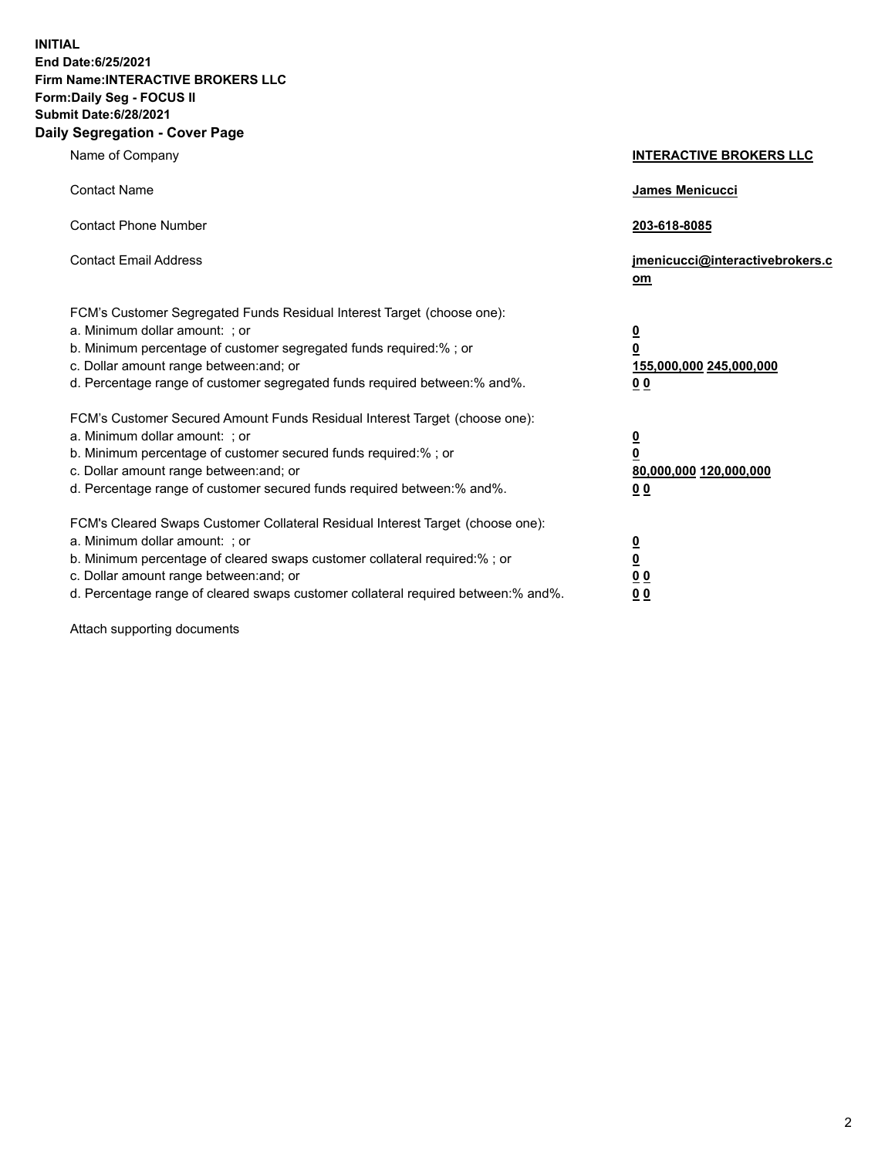**INITIAL End Date:6/25/2021 Firm Name:INTERACTIVE BROKERS LLC Form:Daily Seg - FOCUS II Submit Date:6/28/2021 Daily Segregation - Cover Page**

| Name of Company                                                                                                                                                                                                                                                                                                                | <b>INTERACTIVE BROKERS LLC</b>                                                   |  |
|--------------------------------------------------------------------------------------------------------------------------------------------------------------------------------------------------------------------------------------------------------------------------------------------------------------------------------|----------------------------------------------------------------------------------|--|
| <b>Contact Name</b>                                                                                                                                                                                                                                                                                                            | James Menicucci                                                                  |  |
| <b>Contact Phone Number</b>                                                                                                                                                                                                                                                                                                    | 203-618-8085                                                                     |  |
| <b>Contact Email Address</b>                                                                                                                                                                                                                                                                                                   | jmenicucci@interactivebrokers.c<br>om                                            |  |
| FCM's Customer Segregated Funds Residual Interest Target (choose one):<br>a. Minimum dollar amount: ; or<br>b. Minimum percentage of customer segregated funds required:% ; or<br>c. Dollar amount range between: and; or<br>d. Percentage range of customer segregated funds required between:% and%.                         | <u>0</u><br>$\overline{\mathbf{0}}$<br>155,000,000 245,000,000<br>0 <sub>0</sub> |  |
| FCM's Customer Secured Amount Funds Residual Interest Target (choose one):<br>a. Minimum dollar amount: ; or<br>b. Minimum percentage of customer secured funds required:% ; or<br>c. Dollar amount range between: and; or<br>d. Percentage range of customer secured funds required between:% and%.                           | <u>0</u><br>$\overline{\mathbf{0}}$<br>80,000,000 120,000,000<br>0 <sub>0</sub>  |  |
| FCM's Cleared Swaps Customer Collateral Residual Interest Target (choose one):<br>a. Minimum dollar amount: ; or<br>b. Minimum percentage of cleared swaps customer collateral required:% ; or<br>c. Dollar amount range between: and; or<br>d. Percentage range of cleared swaps customer collateral required between:% and%. | <u>0</u><br>$\underline{\mathbf{0}}$<br>0 <sub>0</sub><br>0 <sub>0</sub>         |  |

Attach supporting documents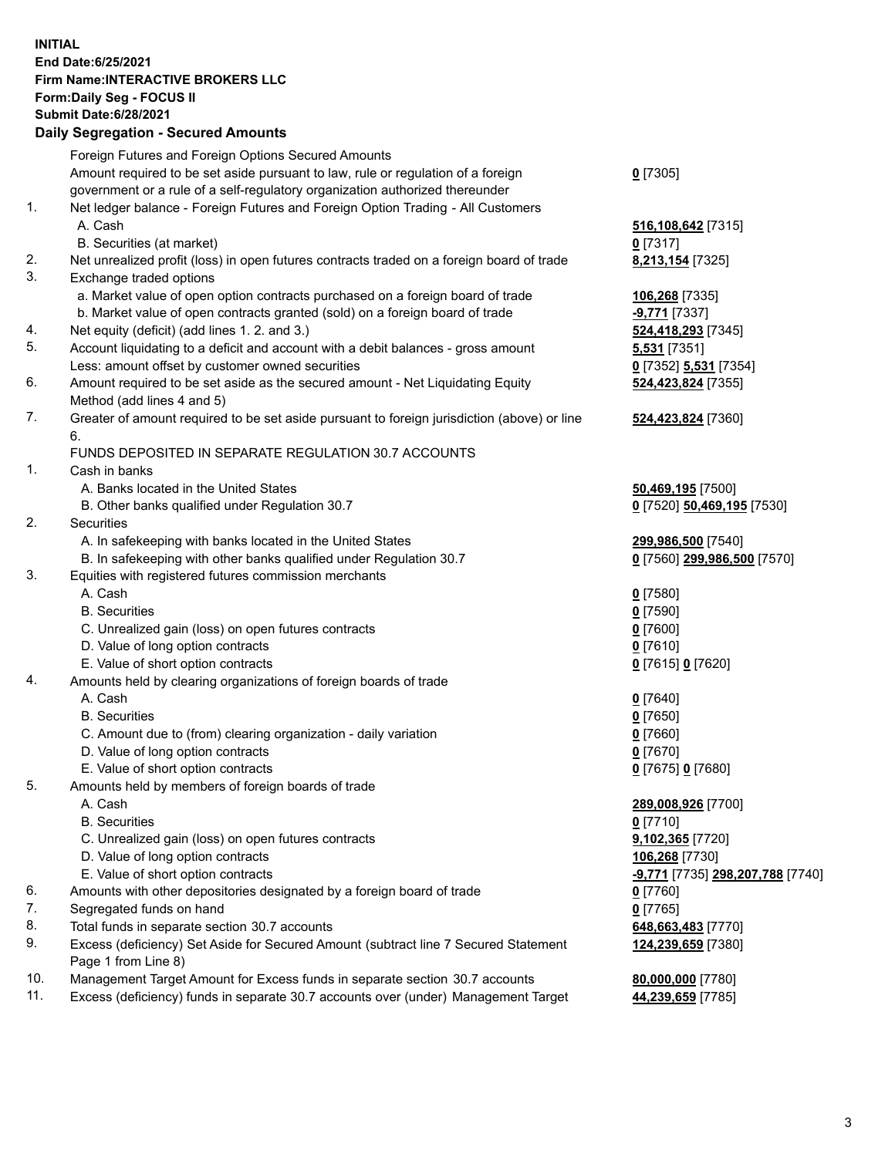**INITIAL End Date:6/25/2021 Firm Name:INTERACTIVE BROKERS LLC Form:Daily Seg - FOCUS II Submit Date:6/28/2021 Daily Segregation - Secured Amounts**

## Foreign Futures and Foreign Options Secured Amounts Amount required to be set aside pursuant to law, rule or regulation of a foreign government or a rule of a self-regulatory organization authorized thereunder **0** [7305] 1. Net ledger balance - Foreign Futures and Foreign Option Trading - All Customers A. Cash **516,108,642** [7315] B. Securities (at market) **0** [7317] 2. Net unrealized profit (loss) in open futures contracts traded on a foreign board of trade **8,213,154** [7325] 3. Exchange traded options a. Market value of open option contracts purchased on a foreign board of trade **106,268** [7335] b. Market value of open contracts granted (sold) on a foreign board of trade **-9,771** [7337] 4. Net equity (deficit) (add lines 1. 2. and 3.) **524,418,293** [7345] 5. Account liquidating to a deficit and account with a debit balances - gross amount **5,531** [7351] Less: amount offset by customer owned securities **0** [7352] **5,531** [7354] 6. Amount required to be set aside as the secured amount - Net Liquidating Equity Method (add lines 4 and 5) **524,423,824** [7355] 7. Greater of amount required to be set aside pursuant to foreign jurisdiction (above) or line 6. **524,423,824** [7360] FUNDS DEPOSITED IN SEPARATE REGULATION 30.7 ACCOUNTS 1. Cash in banks A. Banks located in the United States **50,469,195** [7500] B. Other banks qualified under Regulation 30.7 **0** [7520] **50,469,195** [7530] 2. Securities A. In safekeeping with banks located in the United States **299,986,500** [7540] B. In safekeeping with other banks qualified under Regulation 30.7 **0** [7560] **299,986,500** [7570] 3. Equities with registered futures commission merchants A. Cash **0** [7580] B. Securities **0** [7590] C. Unrealized gain (loss) on open futures contracts **0** [7600] D. Value of long option contracts **0** [7610] E. Value of short option contracts **0** [7615] **0** [7620] 4. Amounts held by clearing organizations of foreign boards of trade A. Cash **0** [7640] B. Securities **0** [7650] C. Amount due to (from) clearing organization - daily variation **0** [7660] D. Value of long option contracts **0** [7670] E. Value of short option contracts **0** [7675] **0** [7680] 5. Amounts held by members of foreign boards of trade A. Cash **289,008,926** [7700] B. Securities **0** [7710] C. Unrealized gain (loss) on open futures contracts **9,102,365** [7720] D. Value of long option contracts **106,268** [7730] E. Value of short option contracts **-9,771** [7735] **298,207,788** [7740] 6. Amounts with other depositories designated by a foreign board of trade **0** [7760] 7. Segregated funds on hand **0** [7765] 8. Total funds in separate section 30.7 accounts **648,663,483** [7770] 9. Excess (deficiency) Set Aside for Secured Amount (subtract line 7 Secured Statement Page 1 from Line 8) **124,239,659** [7380] 10. Management Target Amount for Excess funds in separate section 30.7 accounts **80,000,000** [7780] 11. Excess (deficiency) funds in separate 30.7 accounts over (under) Management Target **44,239,659** [7785]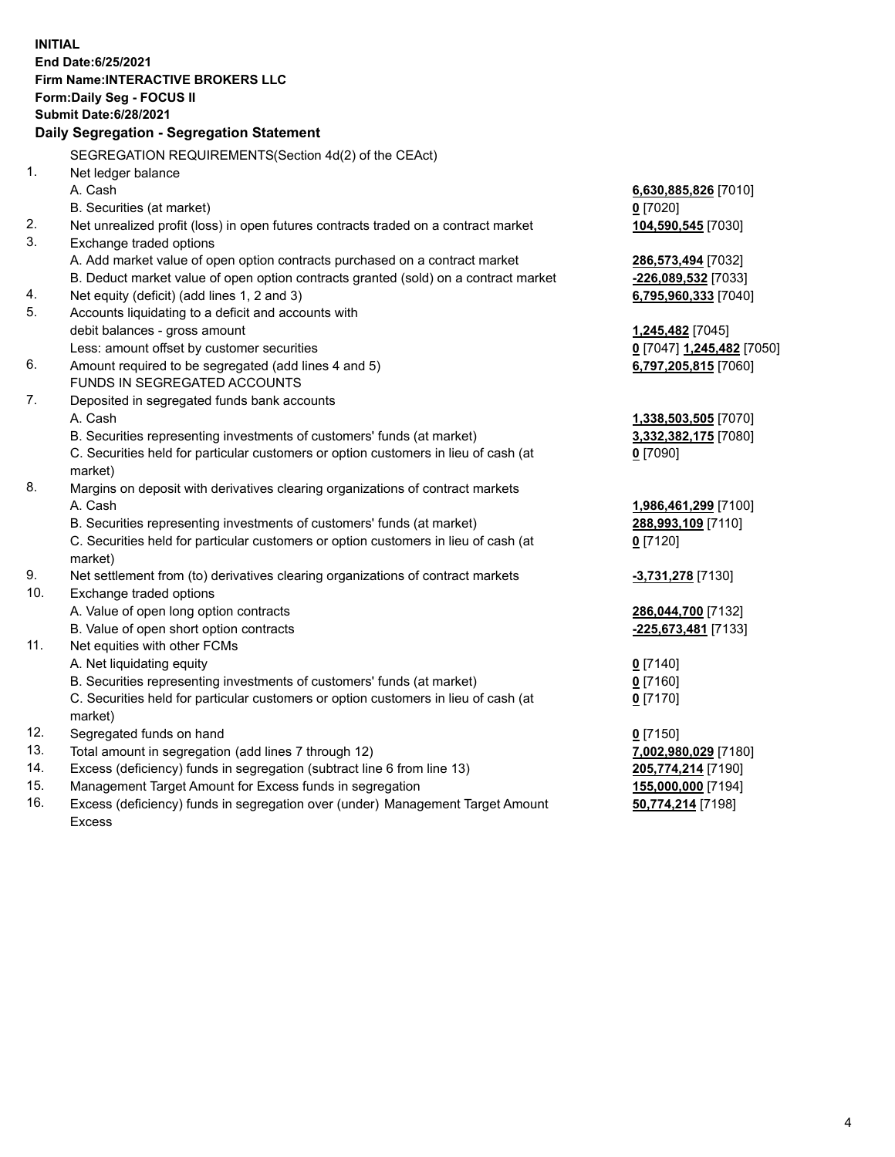**INITIAL End Date:6/25/2021 Firm Name:INTERACTIVE BROKERS LLC Form:Daily Seg - FOCUS II Submit Date:6/28/2021 Daily Segregation - Segregation Statement** SEGREGATION REQUIREMENTS(Section 4d(2) of the CEAct) 1. Net ledger balance A. Cash **6,630,885,826** [7010] B. Securities (at market) **0** [7020] 2. Net unrealized profit (loss) in open futures contracts traded on a contract market **104,590,545** [7030] 3. Exchange traded options A. Add market value of open option contracts purchased on a contract market **286,573,494** [7032] B. Deduct market value of open option contracts granted (sold) on a contract market **-226,089,532** [7033] 4. Net equity (deficit) (add lines 1, 2 and 3) **6,795,960,333** [7040] 5. Accounts liquidating to a deficit and accounts with debit balances - gross amount **1,245,482** [7045] Less: amount offset by customer securities **0** [7047] **1,245,482** [7050] 6. Amount required to be segregated (add lines 4 and 5) **6,797,205,815** [7060] FUNDS IN SEGREGATED ACCOUNTS 7. Deposited in segregated funds bank accounts A. Cash **1,338,503,505** [7070] B. Securities representing investments of customers' funds (at market) **3,332,382,175** [7080] C. Securities held for particular customers or option customers in lieu of cash (at market) **0** [7090] 8. Margins on deposit with derivatives clearing organizations of contract markets A. Cash **1,986,461,299** [7100] B. Securities representing investments of customers' funds (at market) **288,993,109** [7110] C. Securities held for particular customers or option customers in lieu of cash (at market) **0** [7120] 9. Net settlement from (to) derivatives clearing organizations of contract markets **-3,731,278** [7130] 10. Exchange traded options A. Value of open long option contracts **286,044,700** [7132] B. Value of open short option contracts **-225,673,481** [7133] 11. Net equities with other FCMs A. Net liquidating equity **0** [7140] B. Securities representing investments of customers' funds (at market) **0** [7160] C. Securities held for particular customers or option customers in lieu of cash (at market) **0** [7170] 12. Segregated funds on hand **0** [7150] 13. Total amount in segregation (add lines 7 through 12) **7,002,980,029** [7180] 14. Excess (deficiency) funds in segregation (subtract line 6 from line 13) **205,774,214** [7190] 15. Management Target Amount for Excess funds in segregation **155,000,000** [7194]

16. Excess (deficiency) funds in segregation over (under) Management Target Amount Excess

**50,774,214** [7198]